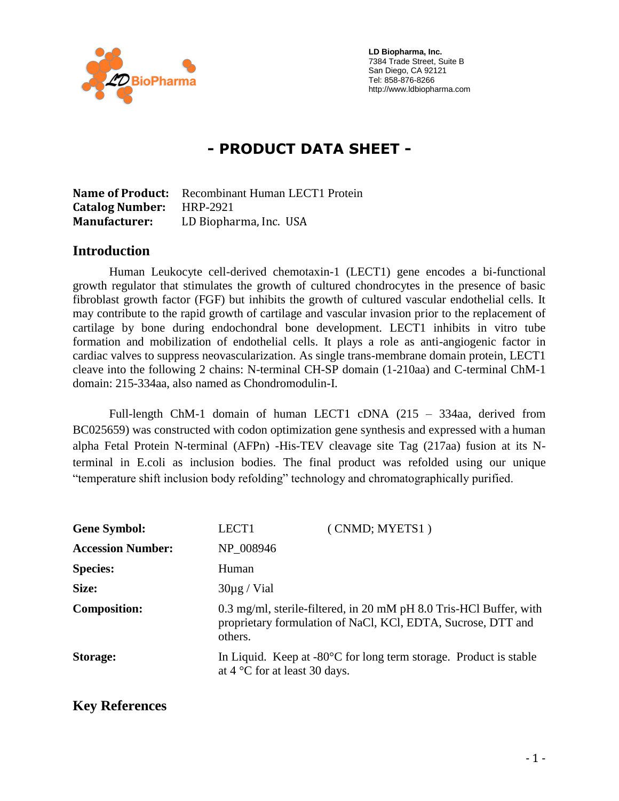

 **LD Biopharma, Inc.** 7384 Trade Street, Suite B San Diego, CA 92121 Tel: 858-876-8266 http://www.ldbiopharma.com

# **- PRODUCT DATA SHEET -**

**Name of Product:** Recombinant Human LECT1 Protein **Catalog Number:** HRP-2921 **Manufacturer:** LD Biopharma, Inc. USA

#### **Introduction**

Human Leukocyte cell-derived chemotaxin-1 (LECT1) gene encodes a bi-functional growth regulator that stimulates the growth of cultured chondrocytes in the presence of basic fibroblast growth factor (FGF) but inhibits the growth of cultured vascular endothelial cells. It may contribute to the rapid growth of cartilage and vascular invasion prior to the replacement of cartilage by bone during endochondral bone development. LECT1 inhibits in vitro tube formation and mobilization of endothelial cells. It plays a role as anti-angiogenic factor in cardiac valves to suppress neovascularization. As single trans-membrane domain protein, LECT1 cleave into the following 2 chains: N-terminal CH-SP domain (1-210aa) and C-terminal ChM-1 domain: 215-334aa, also named as Chondromodulin-I.

Full-length ChM-1 domain of human LECT1 cDNA (215 – 334aa, derived from BC025659) was constructed with codon optimization gene synthesis and expressed with a human alpha Fetal Protein N-terminal (AFPn) -His-TEV cleavage site Tag (217aa) fusion at its Nterminal in E.coli as inclusion bodies. The final product was refolded using our unique "temperature shift inclusion body refolding" technology and chromatographically purified.

| <b>Gene Symbol:</b>      | LECT1                                  | (CNMD; MYETS1)                                                                                                                     |
|--------------------------|----------------------------------------|------------------------------------------------------------------------------------------------------------------------------------|
| <b>Accession Number:</b> | NP_008946                              |                                                                                                                                    |
| <b>Species:</b>          | Human                                  |                                                                                                                                    |
| Size:                    | $30\mu$ g / Vial                       |                                                                                                                                    |
| <b>Composition:</b>      | others.                                | 0.3 mg/ml, sterile-filtered, in 20 mM pH 8.0 Tris-HCl Buffer, with<br>proprietary formulation of NaCl, KCl, EDTA, Sucrose, DTT and |
| Storage:                 | at $4^{\circ}$ C for at least 30 days. | In Liquid. Keep at $-80^{\circ}$ C for long term storage. Product is stable                                                        |

#### **Key References**